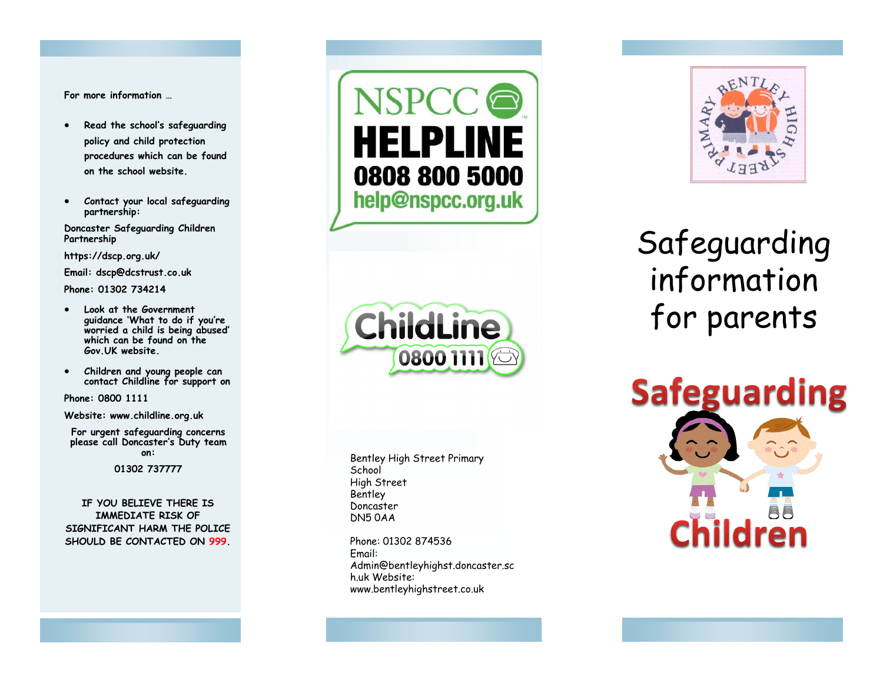**For more information …** 

- **Read the school's safeguarding policy and child protection procedures which can be found on the school website.**
- **Contact your local safeguarding partnership:**

**Doncaster Safeguarding Children Partnership** 

**https://dscp.org.uk/** 

**Email: dscp@dcstrust.co.uk**

**Phone: 01302 734214**

- **Look at the Government guidance 'What to do if you 're worried a child is being abused' which can be found on the Gov.UK website.**
- **Children and young people can contact Childline for support on**

**Phone: 0800 1111** 

**Website: www.childline.org.uk** 

**For urgent safeguarding concerns please call Doncaster 's Duty team on:** 

**01302 737777**

**IF YOU BELIEVE THERE IS IMMEDIATE RISK OF SIGNIFICANT HARM THE POLICE SHOULD BE CONTACTED ON 999.** 





Bentley High Street Primary School High Street **Bentley** Doncaster DN5 0AA

Phone: 01302 874536 Email: Admin@bentleyhighst.doncaster.sc h.uk Website: www.bentleyhighstreet.co.uk



## Safeguarding information for parents